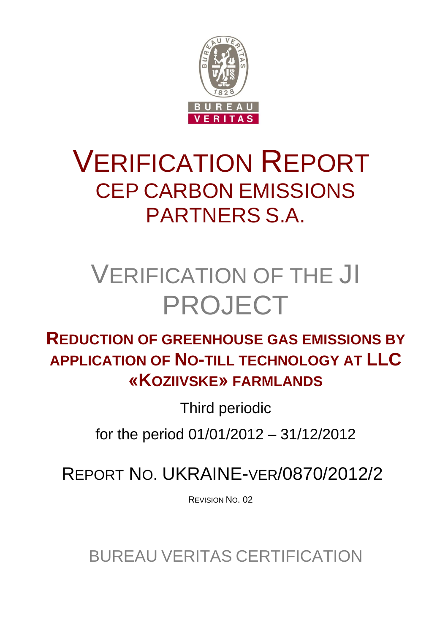

# VERIFICATION REPORT CEP CARBON EMISSIONS PARTNERS S.A.

# VERIFICATION OF THE JI PROJECT

# **REDUCTION OF GREENHOUSE GAS EMISSIONS BY APPLICATION OF NO-TILL TECHNOLOGY AT LLC «KOZIIVSKE» FARMLANDS**

Third periodic

for the period 01/01/2012 – 31/12/2012

REPORT NO. UKRAINE-VER/0870/2012/2

REVISION NO. 02

BUREAU VERITAS CERTIFICATION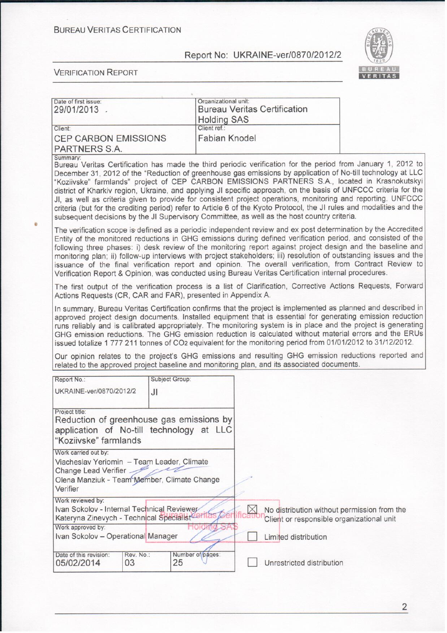

| Date of first issue:<br>29/01/2013.                                                                                                                                    |                | Organizational unit:               | <b>Bureau Veritas Certification</b> |                                                                                                                                                                                                                                                                                                                                                                                                                                                                                                                                                                                                                                                                                           |
|------------------------------------------------------------------------------------------------------------------------------------------------------------------------|----------------|------------------------------------|-------------------------------------|-------------------------------------------------------------------------------------------------------------------------------------------------------------------------------------------------------------------------------------------------------------------------------------------------------------------------------------------------------------------------------------------------------------------------------------------------------------------------------------------------------------------------------------------------------------------------------------------------------------------------------------------------------------------------------------------|
| Client:                                                                                                                                                                |                | <b>Holding SAS</b><br>Client ref.: |                                     |                                                                                                                                                                                                                                                                                                                                                                                                                                                                                                                                                                                                                                                                                           |
| <b>CEP CARBON EMISSIONS</b><br>PARTNERS S.A.                                                                                                                           |                | <b>Fabian Knodel</b>               |                                     |                                                                                                                                                                                                                                                                                                                                                                                                                                                                                                                                                                                                                                                                                           |
| Summary:<br>subsequent decisions by the JI Supervisory Committee, as well as the host country criteria.                                                                |                |                                    |                                     | Bureau Veritas Certification has made the third periodic verification for the period from January 1, 2012 to<br>December 31, 2012 of the "Reduction of greenhouse gas emissions by application of No-till technology at LLC<br>"Koziivske" farmlands" project of CEP CARBON EMISSIONS PARTNERS S.A., located in Krasnokutskyi<br>district of Kharkiv region, Ukraine, and applying JI specific approach, on the basis of UNFCCC criteria for the<br>JI, as well as criteria given to provide for consistent project operations, monitoring and reporting. UNFCCC<br>criteria (but for the crediting period) refer to Article 6 of the Kyoto Protocol, the JI rules and modalities and the |
| Verification Report & Opinion, was conducted using Bureau Veritas Certification internal procedures.                                                                   |                |                                    |                                     | The verification scope is defined as a periodic independent review and ex post determination by the Accredited<br>Entity of the monitored reductions in GHG emissions during defined verification period, and consisted of the<br>following three phases: i) desk review of the monitoring report against project design and the baseline and<br>monitoring plan; ii) follow-up interviews with project stakeholders; iii) resolution of outstanding issues and the<br>issuance of the final verification report and opinion. The overall verification, from Contract Review to                                                                                                           |
| Actions Requests (CR, CAR and FAR), presented in Appendix A.                                                                                                           |                |                                    |                                     | The first output of the verification process is a list of Clarification, Corrective Actions Requests, Forward                                                                                                                                                                                                                                                                                                                                                                                                                                                                                                                                                                             |
| issued totalize 1 777 211 tonnes of CO2 equivalent for the monitoring period from 01/01/2012 to 31/12/2012.                                                            |                |                                    |                                     | In summary, Bureau Veritas Certification confirms that the project is implemented as planned and described in<br>approved project design documents. Installed equipment that is essential for generating emission reduction<br>runs reliably and is calibrated appropriately. The monitoring system is in place and the project is generating<br>GHG emission reductions. The GHG emission reduction is calculated without material errors and the ERUs                                                                                                                                                                                                                                   |
| related to the approved project baseline and monitoring plan, and its associated documents.                                                                            |                |                                    |                                     | Our opinion relates to the project's GHG emissions and resulting GHG emission reductions reported and                                                                                                                                                                                                                                                                                                                                                                                                                                                                                                                                                                                     |
| Report No.:                                                                                                                                                            | Subject Group: |                                    |                                     |                                                                                                                                                                                                                                                                                                                                                                                                                                                                                                                                                                                                                                                                                           |
| UKRAINE-ver/0870/2012/2                                                                                                                                                | JI.            |                                    |                                     |                                                                                                                                                                                                                                                                                                                                                                                                                                                                                                                                                                                                                                                                                           |
| Project title:<br>Reduction of greenhouse gas emissions by<br>application of No-till technology at LLC<br>"Koziivske" farmlands                                        |                |                                    |                                     |                                                                                                                                                                                                                                                                                                                                                                                                                                                                                                                                                                                                                                                                                           |
| Work carried out by:<br>Viacheslav Yeriomin - Team Leader, Climate<br>Change Lead Verifier.<br>Olena Manziuk - Team Member, Climate Change<br>Verifier                 |                |                                    |                                     |                                                                                                                                                                                                                                                                                                                                                                                                                                                                                                                                                                                                                                                                                           |
| Work reviewed by:<br>Ivan Sokolov - Internal Technical Reviewer<br>Kateryna Zinevych - Technical Specialist<br>Work approved by:<br>Ivan Sokolov - Operational Manager |                |                                    | Limited distribution                | No distribution without permission from the<br>Client or responsible organizational unit                                                                                                                                                                                                                                                                                                                                                                                                                                                                                                                                                                                                  |
| Date of this revision:<br>05/02/2014<br>03                                                                                                                             | Rev. No.:      | Number of pages:<br>25             | Unrestricted distribution           |                                                                                                                                                                                                                                                                                                                                                                                                                                                                                                                                                                                                                                                                                           |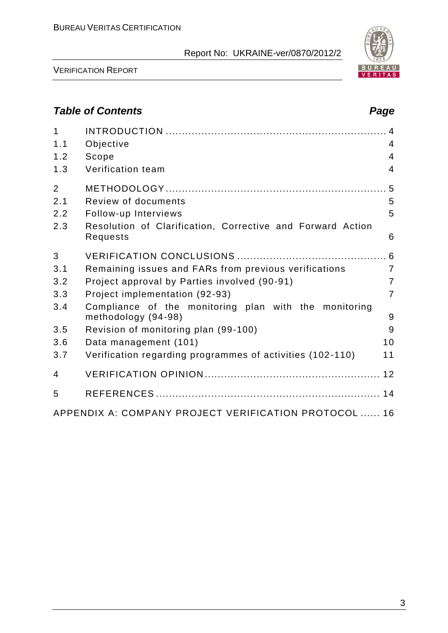

VERIFICATION REPORT

# *Table of Contents Page*

| $\mathbf{1}$<br>1.1 | Objective                                                                    | 4              |
|---------------------|------------------------------------------------------------------------------|----------------|
| 1.2                 | Scope                                                                        | $\overline{4}$ |
| 1.3                 | Verification team                                                            | $\overline{4}$ |
| $\overline{2}$      |                                                                              |                |
| 2.1                 | Review of documents                                                          | 5              |
| 2.2                 | Follow-up Interviews                                                         | 5              |
| 2.3                 | Resolution of Clarification, Corrective and Forward Action<br>Requests       | 6              |
| 3                   |                                                                              |                |
| 3.1                 | Remaining issues and FARs from previous verifications                        | $\overline{7}$ |
| 3.2                 | Project approval by Parties involved (90-91)                                 | $\overline{7}$ |
| 3.3                 | Project implementation (92-93)                                               | $\overline{7}$ |
| 3.4                 | Compliance of the monitoring plan with the monitoring<br>methodology (94-98) | 9              |
| 3.5                 | Revision of monitoring plan (99-100)                                         | 9              |
| 3.6                 | Data management (101)                                                        | 10             |
| 3.7                 | Verification regarding programmes of activities (102-110)                    | 11             |
| $\overline{4}$      |                                                                              |                |
| 5                   |                                                                              |                |
|                     | APPENDIX A: COMPANY PROJECT VERIFICATION PROTOCOL  16                        |                |

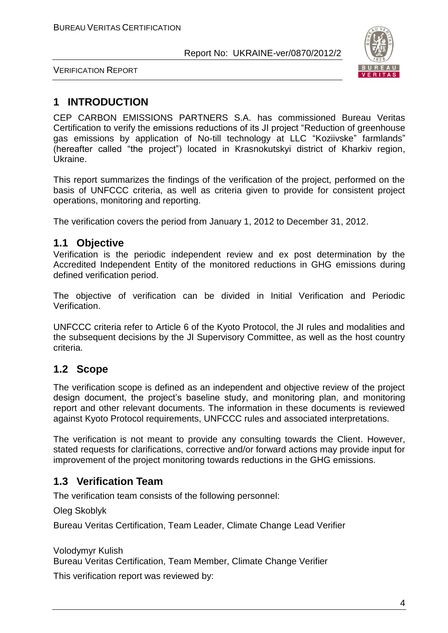

VERIFICATION REPORT

# **1 INTRODUCTION**

CEP CARBON EMISSIONS PARTNERS S.A. has commissioned Bureau Veritas Certification to verify the emissions reductions of its JI project "Reduction of greenhouse gas emissions by application of No-till technology at LLC "Koziivske" farmlands" (hereafter called "the project") located in Krasnokutskyi district of Kharkiv region, Ukraine.

This report summarizes the findings of the verification of the project, performed on the basis of UNFCCC criteria, as well as criteria given to provide for consistent project operations, monitoring and reporting.

The verification covers the period from January 1, 2012 to December 31, 2012.

## **1.1 Objective**

Verification is the periodic independent review and ex post determination by the Accredited Independent Entity of the monitored reductions in GHG emissions during defined verification period.

The objective of verification can be divided in Initial Verification and Periodic Verification.

UNFCCC criteria refer to Article 6 of the Kyoto Protocol, the JI rules and modalities and the subsequent decisions by the JI Supervisory Committee, as well as the host country criteria.

# **1.2 Scope**

The verification scope is defined as an independent and objective review of the project design document, the project's baseline study, and monitoring plan, and monitoring report and other relevant documents. The information in these documents is reviewed against Kyoto Protocol requirements, UNFCCC rules and associated interpretations.

The verification is not meant to provide any consulting towards the Client. However, stated requests for clarifications, corrective and/or forward actions may provide input for improvement of the project monitoring towards reductions in the GHG emissions.

# **1.3 Verification Team**

The verification team consists of the following personnel:

Oleg Skoblyk

Bureau Veritas Certification, Team Leader, Climate Change Lead Verifier

Volodymyr Kulish Bureau Veritas Certification, Team Member, Climate Change Verifier

This verification report was reviewed by: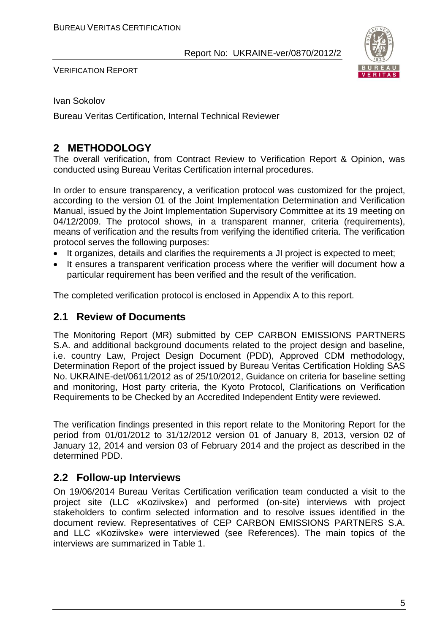

VERIFICATION REPORT

Ivan Sokolov

Bureau Veritas Certification, Internal Technical Reviewer

# **2 METHODOLOGY**

The overall verification, from Contract Review to Verification Report & Opinion, was conducted using Bureau Veritas Certification internal procedures.

In order to ensure transparency, a verification protocol was customized for the project, according to the version 01 of the Joint Implementation Determination and Verification Manual, issued by the Joint Implementation Supervisory Committee at its 19 meeting on 04/12/2009. The protocol shows, in a transparent manner, criteria (requirements), means of verification and the results from verifying the identified criteria. The verification protocol serves the following purposes:

- It organizes, details and clarifies the requirements a JI project is expected to meet;
- It ensures a transparent verification process where the verifier will document how a particular requirement has been verified and the result of the verification.

The completed verification protocol is enclosed in Appendix A to this report.

## **2.1 Review of Documents**

The Monitoring Report (MR) submitted by CEP CARBON EMISSIONS PARTNERS S.A. and additional background documents related to the project design and baseline, i.e. country Law, Project Design Document (PDD), Approved CDM methodology, Determination Report of the project issued by Bureau Veritas Certification Holding SAS No. UKRAINE-det/0611/2012 as of 25/10/2012, Guidance on criteria for baseline setting and monitoring, Host party criteria, the Kyoto Protocol, Clarifications on Verification Requirements to be Checked by an Accredited Independent Entity were reviewed.

The verification findings presented in this report relate to the Monitoring Report for the period from 01/01/2012 to 31/12/2012 version 01 of January 8, 2013, version 02 of January 12, 2014 and version 03 of February 2014 and the project as described in the determined PDD.

## **2.2 Follow-up Interviews**

On 19/06/2014 Bureau Veritas Certification verification team conducted a visit to the project site (LLC «Koziivske») and performed (on-site) interviews with project stakeholders to confirm selected information and to resolve issues identified in the document review. Representatives of CEP CARBON EMISSIONS PARTNERS S.A. and LLC «Koziivske» were interviewed (see References). The main topics of the interviews are summarized in Table 1.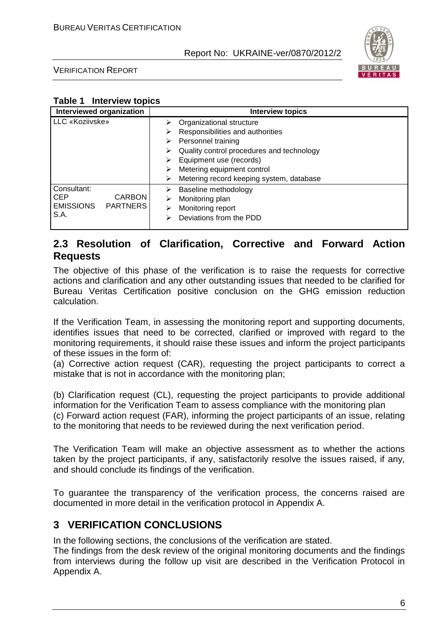

VERIFICATION REPORT

## **Table 1 Interview topics**

| Interviewed organization                                                                  | <b>Interview topics</b>                                                                                                                                                                                                |
|-------------------------------------------------------------------------------------------|------------------------------------------------------------------------------------------------------------------------------------------------------------------------------------------------------------------------|
| LLC «Koziivske»                                                                           | Organizational structure<br>⋗<br>Responsibilities and authorities<br>⋗<br>Personnel training<br>⋗<br>Quality control procedures and technology<br>⋗<br>Equipment use (records)<br>⋗<br>Metering equipment control<br>⋗ |
| Consultant:<br><b>CARBON</b><br><b>CEP</b><br><b>EMISSIONS</b><br><b>PARTNERS</b><br>S.A. | Metering record keeping system, database<br>⋗<br>Baseline methodology<br>⋗<br>Monitoring plan<br>⋗<br>Monitoring report<br>⋗<br>Deviations from the PDD<br>⋗                                                           |

## **2.3 Resolution of Clarification, Corrective and Forward Action Requests**

The objective of this phase of the verification is to raise the requests for corrective actions and clarification and any other outstanding issues that needed to be clarified for Bureau Veritas Certification positive conclusion on the GHG emission reduction calculation.

If the Verification Team, in assessing the monitoring report and supporting documents, identifies issues that need to be corrected, clarified or improved with regard to the monitoring requirements, it should raise these issues and inform the project participants of these issues in the form of:

(a) Corrective action request (CAR), requesting the project participants to correct a mistake that is not in accordance with the monitoring plan;

(b) Clarification request (CL), requesting the project participants to provide additional information for the Verification Team to assess compliance with the monitoring plan (c) Forward action request (FAR), informing the project participants of an issue, relating to the monitoring that needs to be reviewed during the next verification period.

The Verification Team will make an objective assessment as to whether the actions taken by the project participants, if any, satisfactorily resolve the issues raised, if any, and should conclude its findings of the verification.

To guarantee the transparency of the verification process, the concerns raised are documented in more detail in the verification protocol in Appendix A.

# **3 VERIFICATION CONCLUSIONS**

In the following sections, the conclusions of the verification are stated.

The findings from the desk review of the original monitoring documents and the findings from interviews during the follow up visit are described in the Verification Protocol in Appendix A.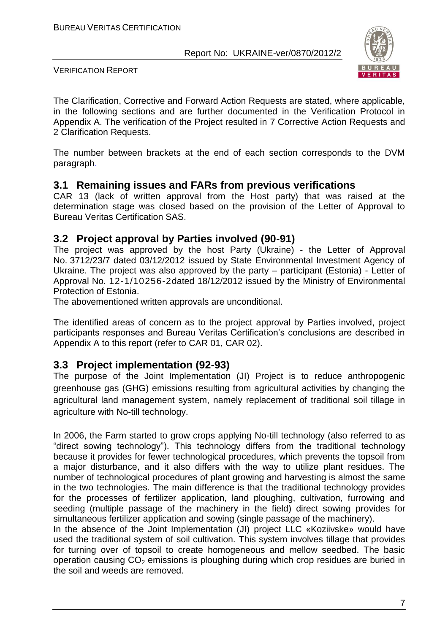

VERIFICATION REPORT

The Clarification, Corrective and Forward Action Requests are stated, where applicable, in the following sections and are further documented in the Verification Protocol in Appendix A. The verification of the Project resulted in 7 Corrective Action Requests and 2 Clarification Requests.

The number between brackets at the end of each section corresponds to the DVM paragraph.

## **3.1 Remaining issues and FARs from previous verifications**

CAR 13 (lack of written approval from the Host party) that was raised at the determination stage was closed based on the provision of the Letter of Approval to Bureau Veritas Certification SAS.

## **3.2 Project approval by Parties involved (90-91)**

The project was approved by the host Party (Ukraine) - the Letter of Approval No. 3712/23/7 dated 03/12/2012 issued by State Environmental Investment Agency of Ukraine. The project was also approved by the party – participant (Estonia) - Letter of Approval No. 12-1/10256-2dated 18/12/2012 issued by the Ministry of Environmental Protection of Estonia.

The abovementioned written approvals are unconditional.

The identified areas of concern as to the project approval by Parties involved, project participants responses and Bureau Veritas Certification's conclusions are described in Appendix A to this report (refer to CAR 01, CAR 02).

## **3.3 Project implementation (92-93)**

The purpose of the Joint Implementation (JI) Project is to reduce anthropogenic greenhouse gas (GHG) emissions resulting from agricultural activities by changing the agricultural land management system, namely replacement of traditional soil tillage in agriculture with No-till technology.

In 2006, the Farm started to grow crops applying No-till technology (also referred to as "direct sowing technology"). This technology differs from the traditional technology because it provides for fewer technological procedures, which prevents the topsoil from a major disturbance, and it also differs with the way to utilize plant residues. The number of technological procedures of plant growing and harvesting is almost the same in the two technologies. The main difference is that the traditional technology provides for the processes of fertilizer application, land ploughing, cultivation, furrowing and seeding (multiple passage of the machinery in the field) direct sowing provides for simultaneous fertilizer application and sowing (single passage of the machinery).

In the absence of the Joint Implementation (JI) project LLC «Koziivske» would have used the traditional system of soil cultivation. This system involves tillage that provides for turning over of topsoil to create homogeneous and mellow seedbed. The basic operation causing  $CO<sub>2</sub>$  emissions is ploughing during which crop residues are buried in the soil and weeds are removed.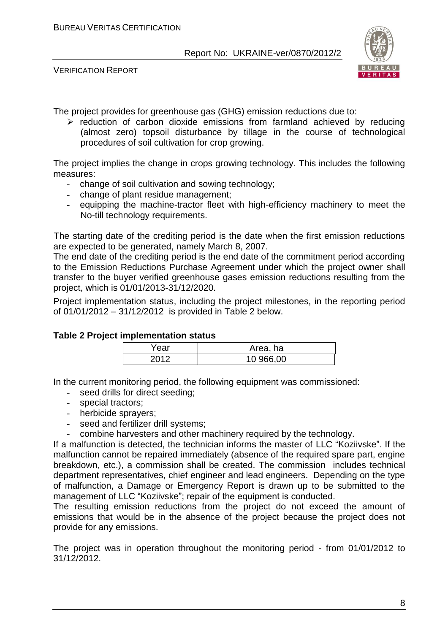

VERIFICATION REPORT

The project provides for greenhouse gas (GHG) emission reductions due to:

 $\triangleright$  reduction of carbon dioxide emissions from farmland achieved by reducing (almost zero) topsoil disturbance by tillage in the course of technological procedures of soil cultivation for crop growing.

The project implies the change in crops growing technology. This includes the following measures:

- change of soil cultivation and sowing technology;
- change of plant residue management;
- equipping the machine-tractor fleet with high-efficiency machinery to meet the No-till technology requirements.

The starting date of the crediting period is the date when the first emission reductions are expected to be generated, namely March 8, 2007.

The end date of the crediting period is the end date of the commitment period according to the Emission Reductions Purchase Agreement under which the project owner shall transfer to the buyer verified greenhouse gases emission reductions resulting from the project, which is 01/01/2013-31/12/2020.

Project implementation status, including the project milestones, in the reporting period of 01/01/2012 – 31/12/2012 is provided in Table 2 below.

#### **Table 2 Project implementation status**

| rear | Area, ha  |
|------|-----------|
| 201c | 10 966,00 |

In the current monitoring period, the following equipment was commissioned:

- seed drills for direct seeding;
- special tractors;
- herbicide sprayers;
- seed and fertilizer drill systems;
- combine harvesters and other machinery required by the technology.

If a malfunction is detected, the technician informs the master of LLC "Koziivske". If the malfunction cannot be repaired immediately (absence of the required spare part, engine breakdown, etc.), a commission shall be created. The commission includes technical department representatives, chief engineer and lead engineers. Depending on the type of malfunction, a Damage or Emergency Report is drawn up to be submitted to the management of LLC "Koziivske"; repair of the equipment is conducted.

The resulting emission reductions from the project do not exceed the amount of emissions that would be in the absence of the project because the project does not provide for any emissions.

The project was in operation throughout the monitoring period - from 01/01/2012 to 31/12/2012.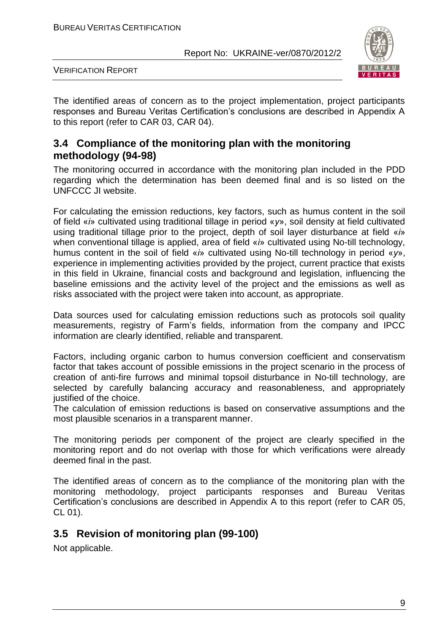

VERIFICATION REPORT

The identified areas of concern as to the project implementation, project participants responses and Bureau Veritas Certification's conclusions are described in Appendix A to this report (refer to CAR 03, CAR 04).

## **3.4 Compliance of the monitoring plan with the monitoring methodology (94-98)**

The monitoring occurred in accordance with the monitoring plan included in the PDD regarding which the determination has been deemed final and is so listed on the UNFCCC JI website.

For calculating the emission reductions, key factors, such as humus content in the soil of field «*і*» cultivated using traditional tillage in period «*у*», soil density at field cultivated using traditional tillage prior to the project, depth of soil layer disturbance at field «*і*» when conventional tillage is applied, area of field «*і*» cultivated using No-till technology, humus content in the soil of field «*і*» cultivated using No-till technology in period «*у*», experience in implementing activities provided by the project, current practice that exists in this field in Ukraine, financial costs and background and legislation, influencing the baseline emissions and the activity level of the project and the emissions as well as risks associated with the project were taken into account, as appropriate.

Data sources used for calculating emission reductions such as protocols soil quality measurements, registry of Farm's fields, information from the company and IPCC information are clearly identified, reliable and transparent.

Factors, including organic carbon to humus conversion coefficient and conservatism factor that takes account of possible emissions in the project scenario in the process of creation of anti-fire furrows and minimal topsoil disturbance in No-till technology, are selected by carefully balancing accuracy and reasonableness, and appropriately justified of the choice.

The calculation of emission reductions is based on conservative assumptions and the most plausible scenarios in a transparent manner.

The monitoring periods per component of the project are clearly specified in the monitoring report and do not overlap with those for which verifications were already deemed final in the past.

The identified areas of concern as to the compliance of the monitoring plan with the monitoring methodology, project participants responses and Bureau Veritas Certification's conclusions are described in Appendix A to this report (refer to CAR 05, CL 01).

# **3.5 Revision of monitoring plan (99-100)**

Not applicable.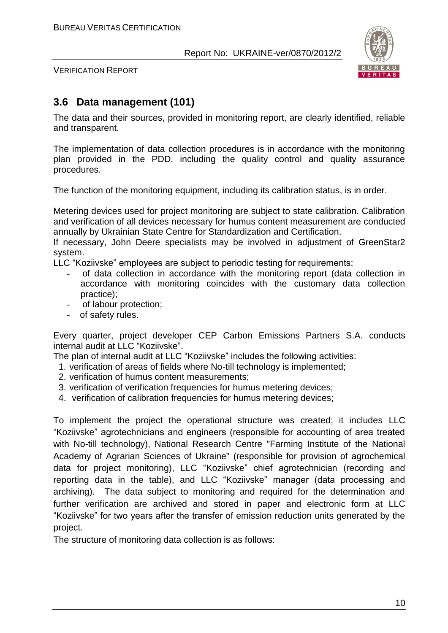

VERIFICATION REPORT

# **3.6 Data management (101)**

The data and their sources, provided in monitoring report, are clearly identified, reliable and transparent.

The implementation of data collection procedures is in accordance with the monitoring plan provided in the PDD, including the quality control and quality assurance procedures.

The function of the monitoring equipment, including its calibration status, is in order.

Metering devices used for project monitoring are subject to state calibration. Calibration and verification of all devices necessary for humus content measurement are conducted annually by Ukrainian State Centre for Standardization and Certification.

If necessary, John Deere specialists may be involved in adjustment of GreenStar2 system.

LLC "Koziivske" employees are subject to periodic testing for requirements:

- of data collection in accordance with the monitoring report (data collection in accordance with monitoring coincides with the customary data collection practice);
- of labour protection;
- of safety rules.

Every quarter, project developer CEP Carbon Emissions Partners S.A. conducts internal audit at LLC "Koziivske".

The plan of internal audit at LLC "Koziivske" includes the following activities:

- 1. verification of areas of fields where No-till technology is implemented;
- 2. verification of humus content measurements;
- 3. verification of verification frequencies for humus metering devices;
- 4. verification of calibration frequencies for humus metering devices;

To implement the project the operational structure was created; it includes LLC "Koziivske" agrotechnicians and engineers (responsible for accounting of area treated with No-till technology), National Research Centre "Farming Institute of the National Academy of Agrarian Sciences of Ukraine" (responsible for provision of agrochemical data for project monitoring), LLC "Koziivske" chief agrotechnician (recording and reporting data in the table), and LLC "Koziivske" manager (data processing and archiving). The data subject to monitoring and required for the determination and further verification are archived and stored in paper and electronic form at LLC "Koziivske" for two years after the transfer of emission reduction units generated by the project.

The structure of monitoring data collection is as follows: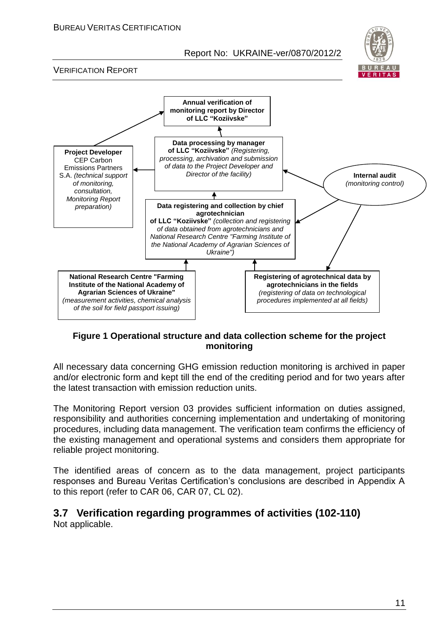

VERIFICATION REPORT



## **Figure 1 Operational structure and data collection scheme for the project monitoring**

All necessary data concerning GHG emission reduction monitoring is archived in paper and/or electronic form and kept till the end of the crediting period and for two years after the latest transaction with emission reduction units.

The Monitoring Report version 03 provides sufficient information on duties assigned, responsibility and authorities concerning implementation and undertaking of monitoring procedures, including data management. The verification team confirms the efficiency of the existing management and operational systems and considers them appropriate for reliable project monitoring.

The identified areas of concern as to the data management, project participants responses and Bureau Veritas Certification's conclusions are described in Appendix A to this report (refer to CAR 06, CAR 07, CL 02).

# **3.7 Verification regarding programmes of activities (102-110)**

Not applicable.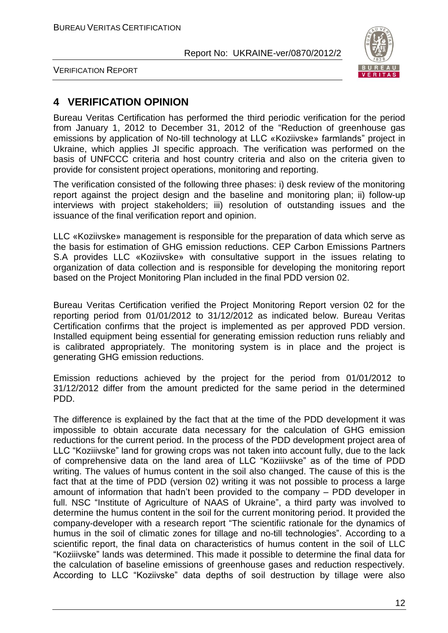

VERIFICATION REPORT

# **4 VERIFICATION OPINION**

Bureau Veritas Certification has performed the third periodic verification for the period from January 1, 2012 to December 31, 2012 of the "Reduction of greenhouse gas emissions by application of No-till technology at LLC «Koziivske» farmlands" project in Ukraine, which applies JI specific approach. The verification was performed on the basis of UNFCCC criteria and host country criteria and also on the criteria given to provide for consistent project operations, monitoring and reporting.

The verification consisted of the following three phases: i) desk review of the monitoring report against the project design and the baseline and monitoring plan; ii) follow-up interviews with project stakeholders; iii) resolution of outstanding issues and the issuance of the final verification report and opinion.

LLC «Koziivske» management is responsible for the preparation of data which serve as the basis for estimation of GHG emission reductions. CEP Carbon Emissions Partners S.A provides LLC «Koziivske» with consultative support in the issues relating to organization of data collection and is responsible for developing the monitoring report based on the Project Monitoring Plan included in the final PDD version 02.

Bureau Veritas Certification verified the Project Monitoring Report version 02 for the reporting period from 01/01/2012 to 31/12/2012 as indicated below. Bureau Veritas Certification confirms that the project is implemented as per approved PDD version. Installed equipment being essential for generating emission reduction runs reliably and is calibrated appropriately. The monitoring system is in place and the project is generating GHG emission reductions.

Emission reductions achieved by the project for the period from 01/01/2012 to 31/12/2012 differ from the amount predicted for the same period in the determined PDD.

The difference is explained by the fact that at the time of the PDD development it was impossible to obtain accurate data necessary for the calculation of GHG emission reductions for the current period. In the process of the PDD development project area of LLC "Koziiivske" land for growing crops was not taken into account fully, due to the lack of comprehensive data on the land area of LLC "Koziiivske" as of the time of PDD writing. The values of humus content in the soil also changed. The cause of this is the fact that at the time of PDD (version 02) writing it was not possible to process a large amount of information that hadn't been provided to the company – PDD developer in full. NSC "Institute of Agriculture of NAAS of Ukraine", a third party was involved to determine the humus content in the soil for the current monitoring period. It provided the company-developer with a research report "The scientific rationale for the dynamics of humus in the soil of climatic zones for tillage and no-till technologies". According to a scientific report, the final data on characteristics of humus content in the soil of LLC "Koziiivske" lands was determined. This made it possible to determine the final data for the calculation of baseline emissions of greenhouse gases and reduction respectively. According to LLC "Koziivske" data depths of soil destruction by tillage were also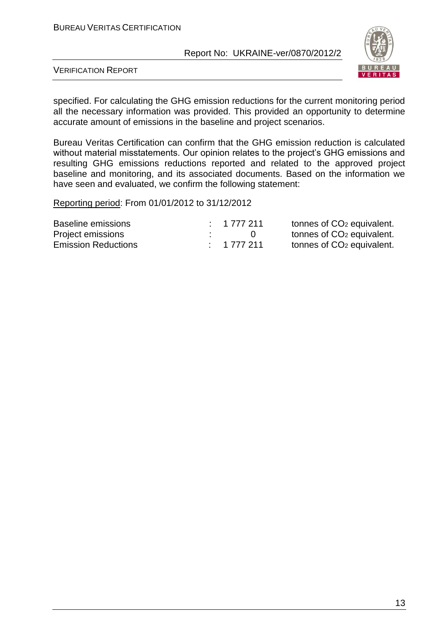

VERIFICATION REPORT

specified. For calculating the GHG emission reductions for the current monitoring period all the necessary information was provided. This provided an opportunity to determine accurate amount of emissions in the baseline and project scenarios.

Bureau Veritas Certification can confirm that the GHG emission reduction is calculated without material misstatements. Our opinion relates to the project's GHG emissions and resulting GHG emissions reductions reported and related to the approved project baseline and monitoring, and its associated documents. Based on the information we have seen and evaluated, we confirm the following statement:

Reporting period: From 01/01/2012 to 31/12/2012

| Baseline emissions         | : 1777211 | tonnes of CO <sub>2</sub> equivalent. |
|----------------------------|-----------|---------------------------------------|
| Project emissions          |           | tonnes of CO <sub>2</sub> equivalent. |
| <b>Emission Reductions</b> | : 1777211 | tonnes of CO <sub>2</sub> equivalent. |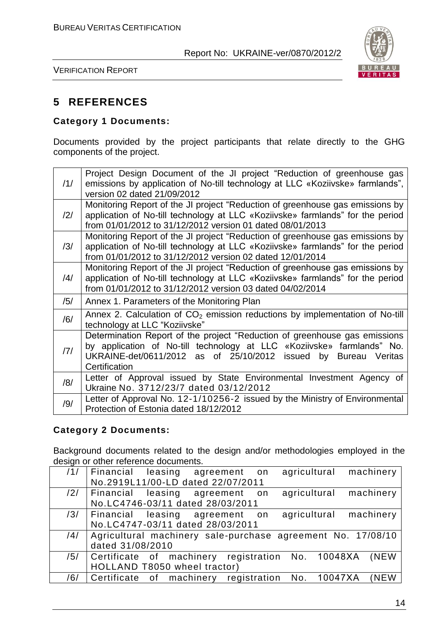

VERIFICATION REPORT

# **5 REFERENCES**

## **Category 1 Documents:**

Documents provided by the project participants that relate directly to the GHG components of the project.

|                | Project Design Document of the JI project "Reduction of greenhouse gas         |
|----------------|--------------------------------------------------------------------------------|
| /1/            | emissions by application of No-till technology at LLC «Koziivske» farmlands",  |
|                | version 02 dated 21/09/2012                                                    |
|                | Monitoring Report of the JI project "Reduction of greenhouse gas emissions by  |
| $\frac{12}{1}$ | application of No-till technology at LLC «Koziivske» farmlands" for the period |
|                | from 01/01/2012 to 31/12/2012 version 01 dated 08/01/2013                      |
|                | Monitoring Report of the JI project "Reduction of greenhouse gas emissions by  |
| /3/            | application of No-till technology at LLC «Koziivske» farmlands" for the period |
|                | from 01/01/2012 to 31/12/2012 version 02 dated 12/01/2014                      |
|                | Monitoring Report of the JI project "Reduction of greenhouse gas emissions by  |
| /4/            | application of No-till technology at LLC «Koziivske» farmlands" for the period |
|                | from 01/01/2012 to 31/12/2012 version 03 dated 04/02/2014                      |
| /5/            | Annex 1. Parameters of the Monitoring Plan                                     |
| /6/            | Annex 2. Calculation of $CO2$ emission reductions by implementation of No-till |
|                | technology at LLC "Koziivske"                                                  |
|                | Determination Report of the project "Reduction of greenhouse gas emissions     |
| 7              | by application of No-till technology at LLC «Koziivske» farmlands" No.         |
|                | UKRAINE-det/0611/2012 as of 25/10/2012 issued by<br>Bureau Veritas             |
|                | Certification                                                                  |
| /8/            | Letter of Approval issued by State Environmental Investment Agency of          |
|                | Ukraine No. 3712/23/7 dated 03/12/2012                                         |
| /9/            | Letter of Approval No. 12-1/10256-2 issued by the Ministry of Environmental    |
|                | Protection of Estonia dated 18/12/2012                                         |

## **Category 2 Documents:**

Background documents related to the design and/or methodologies employed in the design or other reference documents.

| /1/ | agricultural machinery<br>Financial leasing agreement on    |
|-----|-------------------------------------------------------------|
|     | No.2919L11/00-LD dated 22/07/2011                           |
| /2/ | agricultural machinery<br>Financial leasing agreement<br>on |
|     | No.LC4746-03/11 dated 28/03/2011                            |
| /3/ | agricultural machinery<br>Financial leasing agreement on    |
|     | No.LC4747-03/11 dated 28/03/2011                            |
| /4/ | Agricultural machinery sale-purchase agreement No. 17/08/10 |
|     | dated 31/08/2010                                            |
| /5/ | Certificate of machinery registration No. 10048XA<br>(NEW   |
|     | HOLLAND T8050 wheel tractor)                                |
| /6/ | Certificate of machinery registration No. 10047XA<br>(NEW   |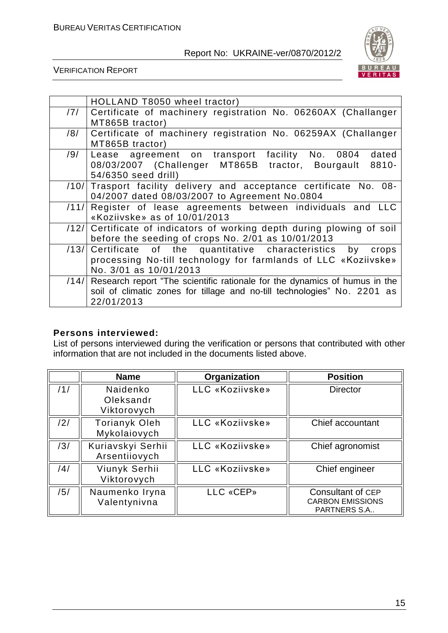

VERIFICATION REPORT

|      | HOLLAND T8050 wheel tractor)                                                    |
|------|---------------------------------------------------------------------------------|
| /7/  | Certificate of machinery registration No. 06260AX (Challanger                   |
|      | MT865B tractor)                                                                 |
| /8/  | Certificate of machinery registration No. 06259AX (Challanger                   |
|      | MT865B tractor)                                                                 |
| /9/  | dated<br>Lease agreement on transport facility No. 0804                         |
|      | 08/03/2007 (Challenger MT865B tractor, Bourgault<br>8810-                       |
|      | 54/6350 seed drill)                                                             |
| /10/ | Trasport facility delivery and acceptance certificate No. 08-                   |
|      | 04/2007 dated 08/03/2007 to Agreement No.0804                                   |
| /11/ | Register of lease agreements between individuals and LLC                        |
|      | «Koziivske» as of 10/01/2013                                                    |
| /12/ | Certificate of indicators of working depth during plowing of soil               |
|      | before the seeding of crops No. 2/01 as 10/01/2013                              |
| /13/ | Certificate of the quantitative characteristics by<br>crops                     |
|      | processing No-till technology for farmlands of LLC «Koziivske»                  |
|      | No. 3/01 as 10/01/2013                                                          |
|      | /14/ Research report "The scientific rationale for the dynamics of humus in the |
|      | soil of climatic zones for tillage and no-till technologies" No. 2201 as        |
|      | 22/01/2013                                                                      |

## **Persons interviewed:**

List of persons interviewed during the verification or persons that contributed with other information that are not included in the documents listed above.

|     | <b>Name</b>                          | Organization    | <b>Position</b>                                                     |
|-----|--------------------------------------|-----------------|---------------------------------------------------------------------|
| /1/ | Naidenko<br>Oleksandr<br>Viktorovych | LLC «Koziivske» | <b>Director</b>                                                     |
| /2/ | <b>Torianyk Oleh</b><br>Mykolaiovych | LLC «Koziivske» | Chief accountant                                                    |
| /3/ | Kuriavskyi Serhii<br>Arsentiiovych   | LLC «Koziivske» | Chief agronomist                                                    |
| /4/ | Viunyk Serhii<br>Viktorovych         | LLC «Koziivske» | Chief engineer                                                      |
| /5/ | Naumenko Iryna<br>Valentynivna       | LLC «CEP»       | Consultant of CEP<br><b>CARBON EMISSIONS</b><br><b>PARTNERS S.A</b> |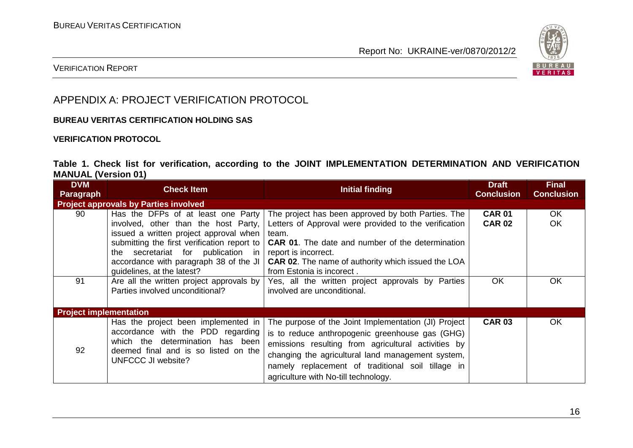

## VERIFICATION REPORT

# APPENDIX A: PROJECT VERIFICATION PROTOCOL

### **BUREAU VERITAS CERTIFICATION HOLDING SAS**

### **VERIFICATION PROTOCOL**

## **Table 1. Check list for verification, according to the JOINT IMPLEMENTATION DETERMINATION AND VERIFICATION MANUAL (Version 01)**

| <b>DVM</b><br>Paragraph                      | <b>Check Item</b>                                                                                                                                                                                                                                                                                         | Initial finding                                                                                                                                                                                                                                                                                                  | <b>Draft</b><br><b>Conclusion</b> | <b>Final</b><br><b>Conclusion</b> |
|----------------------------------------------|-----------------------------------------------------------------------------------------------------------------------------------------------------------------------------------------------------------------------------------------------------------------------------------------------------------|------------------------------------------------------------------------------------------------------------------------------------------------------------------------------------------------------------------------------------------------------------------------------------------------------------------|-----------------------------------|-----------------------------------|
| <b>Project approvals by Parties involved</b> |                                                                                                                                                                                                                                                                                                           |                                                                                                                                                                                                                                                                                                                  |                                   |                                   |
| 90                                           | Has the DFPs of at least one Party<br>involved, other than the host Party,<br>issued a written project approval when<br>submitting the first verification report to<br>secretariat for publication in report is incorrect.<br>the<br>accordance with paragraph 38 of the JI<br>guidelines, at the latest? | The project has been approved by both Parties. The<br>Letters of Approval were provided to the verification<br>team.<br><b>CAR 01.</b> The date and number of the determination<br><b>CAR 02.</b> The name of authority which issued the LOA<br>from Estonia is incorect.                                        | <b>CAR 01</b><br><b>CAR 02</b>    | OK.<br><b>OK</b>                  |
| 91                                           | Are all the written project approvals by  <br>Parties involved unconditional?                                                                                                                                                                                                                             | Yes, all the written project approvals by Parties<br>involved are unconditional.                                                                                                                                                                                                                                 | OK                                | OK                                |
| <b>Project implementation</b>                |                                                                                                                                                                                                                                                                                                           |                                                                                                                                                                                                                                                                                                                  |                                   |                                   |
| 92                                           | Has the project been implemented in<br>accordance with the PDD regarding<br>which the determination has been<br>deemed final and is so listed on the<br>UNFCCC JI website?                                                                                                                                | The purpose of the Joint Implementation (JI) Project<br>is to reduce anthropogenic greenhouse gas (GHG)<br>emissions resulting from agricultural activities by<br>changing the agricultural land management system,<br>namely replacement of traditional soil tillage in<br>agriculture with No-till technology. | <b>CAR 03</b>                     | OK.                               |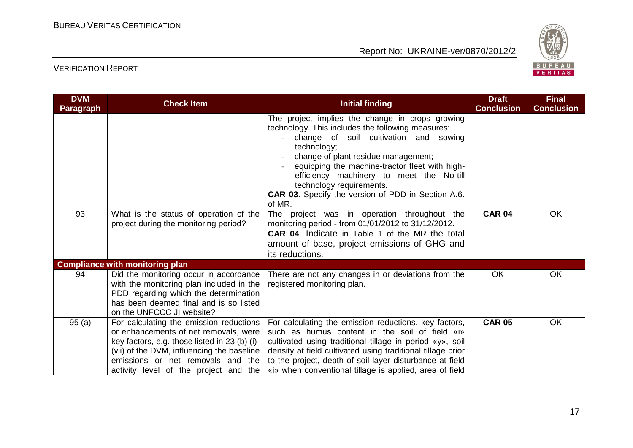

| <b>DVM</b><br><b>Paragraph</b> | <b>Check Item</b>                                                                                                                                                                                                                                             | <b>Initial finding</b>                                                                                                                                                                                                                                                                                                                                                                               | <b>Draft</b><br><b>Conclusion</b> | <b>Final</b><br><b>Conclusion</b> |
|--------------------------------|---------------------------------------------------------------------------------------------------------------------------------------------------------------------------------------------------------------------------------------------------------------|------------------------------------------------------------------------------------------------------------------------------------------------------------------------------------------------------------------------------------------------------------------------------------------------------------------------------------------------------------------------------------------------------|-----------------------------------|-----------------------------------|
|                                |                                                                                                                                                                                                                                                               | The project implies the change in crops growing<br>technology. This includes the following measures:<br>change of soil cultivation and sowing<br>technology;<br>change of plant residue management;<br>equipping the machine-tractor fleet with high-<br>efficiency machinery to meet the No-till<br>technology requirements.<br><b>CAR 03.</b> Specify the version of PDD in Section A.6.<br>of MR. |                                   |                                   |
| 93                             | What is the status of operation of the<br>project during the monitoring period?                                                                                                                                                                               | The project was in operation throughout the<br>monitoring period - from 01/01/2012 to 31/12/2012.<br><b>CAR 04.</b> Indicate in Table 1 of the MR the total<br>amount of base, project emissions of GHG and<br>its reductions.                                                                                                                                                                       | <b>CAR 04</b>                     | <b>OK</b>                         |
|                                | <b>Compliance with monitoring plan</b>                                                                                                                                                                                                                        |                                                                                                                                                                                                                                                                                                                                                                                                      |                                   |                                   |
| 94                             | Did the monitoring occur in accordance<br>with the monitoring plan included in the<br>PDD regarding which the determination<br>has been deemed final and is so listed<br>on the UNFCCC JI website?                                                            | There are not any changes in or deviations from the<br>registered monitoring plan.                                                                                                                                                                                                                                                                                                                   | <b>OK</b>                         | <b>OK</b>                         |
| 95(a)                          | For calculating the emission reductions<br>or enhancements of net removals, were<br>key factors, e.g. those listed in 23 (b) (i)-<br>(vii) of the DVM, influencing the baseline<br>emissions or net removals and the<br>activity level of the project and the | For calculating the emission reductions, key factors,<br>such as humus content in the soil of field «i»<br>cultivated using traditional tillage in period «y», soil<br>density at field cultivated using traditional tillage prior<br>to the project, depth of soil layer disturbance at field<br>«i» when conventional tillage is applied, area of field                                            | <b>CAR 05</b>                     | OK                                |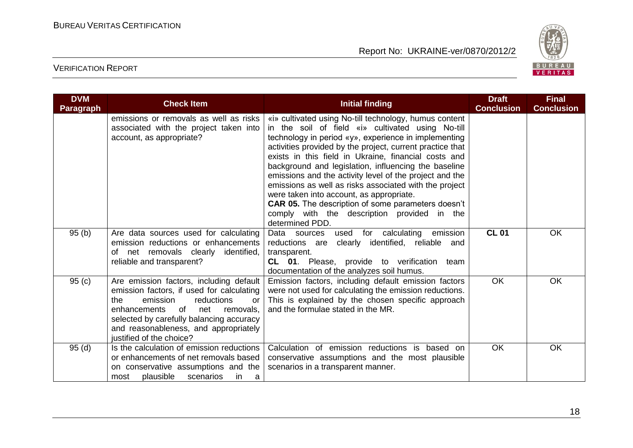

| <b>DVM</b><br><b>Paragraph</b> | <b>Check Item</b>                                                                                                                                                                                                                                                                          | <b>Initial finding</b>                                                                                                                                                                                                                                                                                                                                                                                                                                                                                                                                                                                                                           | <b>Draft</b><br><b>Conclusion</b> | <b>Final</b><br><b>Conclusion</b> |
|--------------------------------|--------------------------------------------------------------------------------------------------------------------------------------------------------------------------------------------------------------------------------------------------------------------------------------------|--------------------------------------------------------------------------------------------------------------------------------------------------------------------------------------------------------------------------------------------------------------------------------------------------------------------------------------------------------------------------------------------------------------------------------------------------------------------------------------------------------------------------------------------------------------------------------------------------------------------------------------------------|-----------------------------------|-----------------------------------|
|                                | emissions or removals as well as risks<br>associated with the project taken into<br>account, as appropriate?                                                                                                                                                                               | «i» cultivated using No-till technology, humus content<br>in the soil of field «i» cultivated using No-till<br>technology in period «y», experience in implementing<br>activities provided by the project, current practice that<br>exists in this field in Ukraine, financial costs and<br>background and legislation, influencing the baseline<br>emissions and the activity level of the project and the<br>emissions as well as risks associated with the project<br>were taken into account, as appropriate.<br><b>CAR 05.</b> The description of some parameters doesn't<br>comply with the description provided in the<br>determined PDD. |                                   |                                   |
| 95(b)                          | Are data sources used for calculating<br>emission reductions or enhancements<br>net removals clearly<br>identified,<br>of<br>reliable and transparent?                                                                                                                                     | Data sources<br>for calculating<br>emission<br>used<br>reductions are<br>clearly identified, reliable and<br>transparent.<br>CL 01. Please, provide to verification team<br>documentation of the analyzes soil humus.                                                                                                                                                                                                                                                                                                                                                                                                                            | <b>CL 01</b>                      | <b>OK</b>                         |
| 95(c)                          | Are emission factors, including default<br>emission factors, if used for calculating<br>the<br>emission<br>reductions<br><b>or</b><br>enhancements of<br>net<br>removals,<br>selected by carefully balancing accuracy<br>and reasonableness, and appropriately<br>justified of the choice? | Emission factors, including default emission factors<br>were not used for calculating the emission reductions.<br>This is explained by the chosen specific approach<br>and the formulae stated in the MR.                                                                                                                                                                                                                                                                                                                                                                                                                                        | <b>OK</b>                         | <b>OK</b>                         |
| 95(d)                          | Is the calculation of emission reductions<br>or enhancements of net removals based<br>on conservative assumptions and the<br>plausible<br>scenarios<br>in<br>most<br>a                                                                                                                     | Calculation of emission reductions is based on<br>conservative assumptions and the most plausible<br>scenarios in a transparent manner.                                                                                                                                                                                                                                                                                                                                                                                                                                                                                                          | <b>OK</b>                         | <b>OK</b>                         |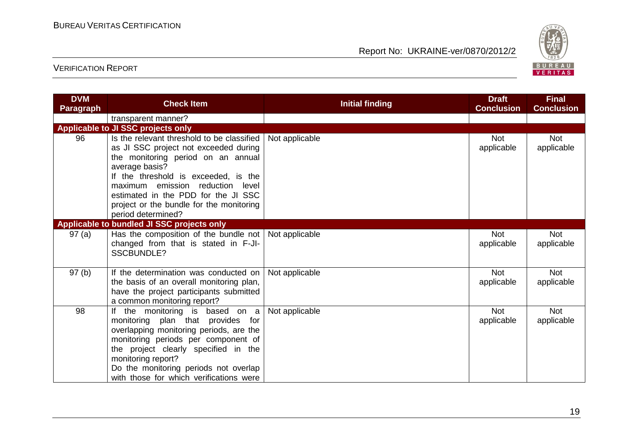

| <b>DVM</b><br><b>Paragraph</b> | <b>Check Item</b>                                                                                                                                                                                                                                                                                                                | <b>Initial finding</b> | <b>Draft</b><br><b>Conclusion</b> | <b>Final</b><br><b>Conclusion</b> |
|--------------------------------|----------------------------------------------------------------------------------------------------------------------------------------------------------------------------------------------------------------------------------------------------------------------------------------------------------------------------------|------------------------|-----------------------------------|-----------------------------------|
|                                | transparent manner?                                                                                                                                                                                                                                                                                                              |                        |                                   |                                   |
|                                | Applicable to JI SSC projects only                                                                                                                                                                                                                                                                                               |                        |                                   |                                   |
| 96                             | Is the relevant threshold to be classified<br>as JI SSC project not exceeded during<br>the monitoring period on an annual<br>average basis?<br>If the threshold is exceeded, is the<br>maximum emission reduction level<br>estimated in the PDD for the JI SSC<br>project or the bundle for the monitoring<br>period determined? | Not applicable         | Not<br>applicable                 | <b>Not</b><br>applicable          |
|                                | Applicable to bundled JI SSC projects only                                                                                                                                                                                                                                                                                       |                        |                                   |                                   |
| 97(a)                          | Has the composition of the bundle not   Not applicable<br>changed from that is stated in F-JI-<br><b>SSCBUNDLE?</b>                                                                                                                                                                                                              |                        | <b>Not</b><br>applicable          | <b>Not</b><br>applicable          |
| 97(b)                          | If the determination was conducted on<br>the basis of an overall monitoring plan,<br>have the project participants submitted<br>a common monitoring report?                                                                                                                                                                      | Not applicable         | <b>Not</b><br>applicable          | <b>Not</b><br>applicable          |
| 98                             | the monitoring is based on a<br>lf<br>monitoring plan that provides for<br>overlapping monitoring periods, are the<br>monitoring periods per component of<br>the project clearly specified in the<br>monitoring report?<br>Do the monitoring periods not overlap<br>with those for which verifications were                      | Not applicable         | <b>Not</b><br>applicable          | <b>Not</b><br>applicable          |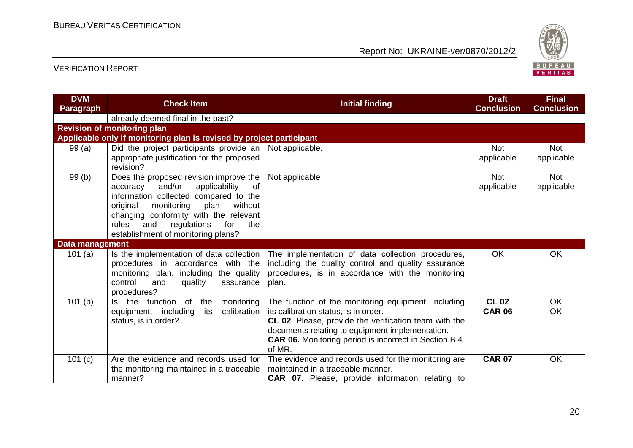

| <b>DVM</b><br><b>Paragraph</b> | <b>Check Item</b>                                                                                                                                                                                                                                                                                     | <b>Initial finding</b>                                                                                                                                                                                                                                                             | <b>Draft</b><br><b>Conclusion</b> | <b>Final</b><br><b>Conclusion</b> |
|--------------------------------|-------------------------------------------------------------------------------------------------------------------------------------------------------------------------------------------------------------------------------------------------------------------------------------------------------|------------------------------------------------------------------------------------------------------------------------------------------------------------------------------------------------------------------------------------------------------------------------------------|-----------------------------------|-----------------------------------|
|                                | already deemed final in the past?                                                                                                                                                                                                                                                                     |                                                                                                                                                                                                                                                                                    |                                   |                                   |
|                                | <b>Revision of monitoring plan</b>                                                                                                                                                                                                                                                                    |                                                                                                                                                                                                                                                                                    |                                   |                                   |
|                                | Applicable only if monitoring plan is revised by project participant                                                                                                                                                                                                                                  |                                                                                                                                                                                                                                                                                    |                                   |                                   |
| 99 (a)                         | Did the project participants provide an<br>appropriate justification for the proposed<br>revision?                                                                                                                                                                                                    | Not applicable.                                                                                                                                                                                                                                                                    | <b>Not</b><br>applicable          | <b>Not</b><br>applicable          |
| 99(b)                          | Does the proposed revision improve the<br>and/or<br>applicability<br>of<br>accuracy<br>information collected compared to the<br>without<br>original<br>monitoring<br>plan<br>changing conformity with the relevant<br>rules<br>and<br>regulations<br>for<br>the<br>establishment of monitoring plans? | Not applicable                                                                                                                                                                                                                                                                     | <b>Not</b><br>applicable          | <b>Not</b><br>applicable          |
| Data management                |                                                                                                                                                                                                                                                                                                       |                                                                                                                                                                                                                                                                                    |                                   |                                   |
| 101 $(a)$                      | Is the implementation of data collection<br>procedures in accordance with the<br>monitoring plan, including the quality<br>control<br>quality<br>and<br>assurance<br>procedures?                                                                                                                      | The implementation of data collection procedures,<br>including the quality control and quality assurance<br>procedures, is in accordance with the monitoring<br>plan.                                                                                                              | OK                                | OK                                |
| 101(b)                         | Is the function of<br>the<br>monitoring<br>equipment, including<br>its<br>calibration<br>status, is in order?                                                                                                                                                                                         | The function of the monitoring equipment, including<br>its calibration status, is in order.<br>CL 02. Please, provide the verification team with the<br>documents relating to equipment implementation.<br><b>CAR 06.</b> Monitoring period is incorrect in Section B.4.<br>of MR. | <b>CL 02</b><br><b>CAR 06</b>     | OK<br><b>OK</b>                   |
| 101 $(c)$                      | Are the evidence and records used for<br>the monitoring maintained in a traceable<br>manner?                                                                                                                                                                                                          | The evidence and records used for the monitoring are<br>maintained in a traceable manner.<br><b>CAR 07.</b> Please, provide information relating to                                                                                                                                | <b>CAR 07</b>                     | OK                                |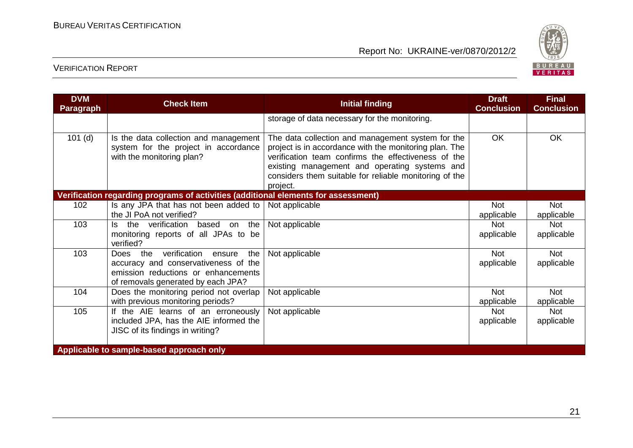

| <b>DVM</b><br>Paragraph                  | <b>Check Item</b>                                                                                                                                        | <b>Initial finding</b>                                                                                                                                                                                                                                                                    | <b>Draft</b><br><b>Conclusion</b> | <b>Final</b><br><b>Conclusion</b> |
|------------------------------------------|----------------------------------------------------------------------------------------------------------------------------------------------------------|-------------------------------------------------------------------------------------------------------------------------------------------------------------------------------------------------------------------------------------------------------------------------------------------|-----------------------------------|-----------------------------------|
|                                          |                                                                                                                                                          | storage of data necessary for the monitoring.                                                                                                                                                                                                                                             |                                   |                                   |
| $101$ (d)                                | Is the data collection and management<br>system for the project in accordance<br>with the monitoring plan?                                               | The data collection and management system for the<br>project is in accordance with the monitoring plan. The<br>verification team confirms the effectiveness of the<br>existing management and operating systems and<br>considers them suitable for reliable monitoring of the<br>project. | <b>OK</b>                         | OK                                |
|                                          | Verification regarding programs of activities (additional elements for assessment)                                                                       |                                                                                                                                                                                                                                                                                           |                                   |                                   |
| 102                                      | Is any JPA that has not been added to<br>the JI PoA not verified?                                                                                        | Not applicable                                                                                                                                                                                                                                                                            | Not<br>applicable                 | <b>Not</b><br>applicable          |
| 103                                      | Is the verification based on the<br>monitoring reports of all JPAs to be<br>verified?                                                                    | Not applicable                                                                                                                                                                                                                                                                            | <b>Not</b><br>applicable          | <b>Not</b><br>applicable          |
| 103                                      | Does the verification ensure<br>the<br>accuracy and conservativeness of the<br>emission reductions or enhancements<br>of removals generated by each JPA? | Not applicable                                                                                                                                                                                                                                                                            | <b>Not</b><br>applicable          | <b>Not</b><br>applicable          |
| 104                                      | Does the monitoring period not overlap<br>with previous monitoring periods?                                                                              | Not applicable                                                                                                                                                                                                                                                                            | <b>Not</b><br>applicable          | <b>Not</b><br>applicable          |
| 105                                      | If the AIE learns of an erroneously<br>included JPA, has the AIE informed the<br>JISC of its findings in writing?                                        | Not applicable                                                                                                                                                                                                                                                                            | <b>Not</b><br>applicable          | <b>Not</b><br>applicable          |
| Applicable to sample-based approach only |                                                                                                                                                          |                                                                                                                                                                                                                                                                                           |                                   |                                   |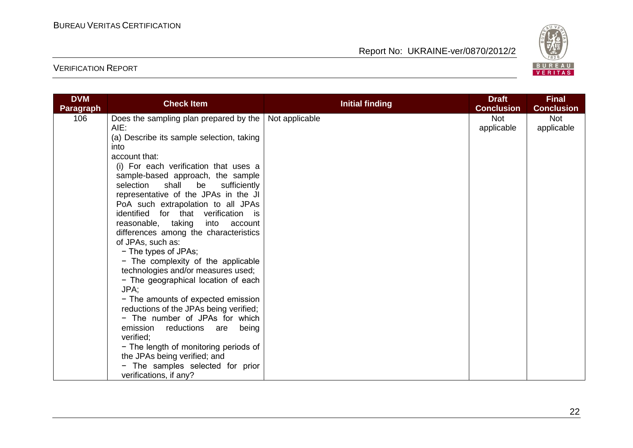

| <b>DVM</b>       |                                                                                                                                                                                                                                                                                                                                                                                                                                                                                       |                        | <b>Draft</b>             | <b>Final</b>             |
|------------------|---------------------------------------------------------------------------------------------------------------------------------------------------------------------------------------------------------------------------------------------------------------------------------------------------------------------------------------------------------------------------------------------------------------------------------------------------------------------------------------|------------------------|--------------------------|--------------------------|
| <b>Paragraph</b> |                                                                                                                                                                                                                                                                                                                                                                                                                                                                                       |                        | <b>Conclusion</b>        | <b>Conclusion</b>        |
| 106              | <b>Check Item</b><br>Does the sampling plan prepared by the   Not applicable<br>AIE:<br>(a) Describe its sample selection, taking<br>into<br>account that:<br>(i) For each verification that uses a<br>sample-based approach, the sample<br>selection<br>shall<br>be<br>sufficiently<br>representative of the JPAs in the JI<br>PoA such extrapolation to all JPAs<br>identified for that verification is<br>reasonable, taking into account<br>differences among the characteristics | <b>Initial finding</b> | <b>Not</b><br>applicable | <b>Not</b><br>applicable |
|                  | of JPAs, such as:<br>- The types of JPAs;<br>- The complexity of the applicable<br>technologies and/or measures used;<br>- The geographical location of each<br>JPA;<br>- The amounts of expected emission<br>reductions of the JPAs being verified;<br>- The number of JPAs for which<br>emission<br>reductions are<br>being<br>verified;<br>- The length of monitoring periods of<br>the JPAs being verified; and<br>- The samples selected for prior<br>verifications, if any?     |                        |                          |                          |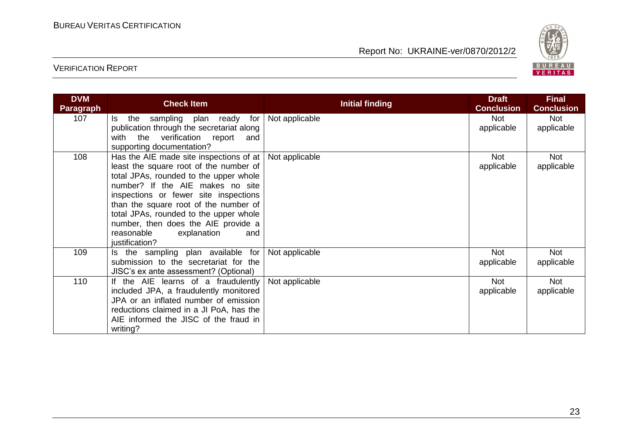

| <b>DVM</b><br><b>Paragraph</b> | <b>Check Item</b>                                                                                                                                                                                                                                                                                                                                                                            | <b>Initial finding</b> | <b>Draft</b><br><b>Conclusion</b> | <b>Final</b><br><b>Conclusion</b> |
|--------------------------------|----------------------------------------------------------------------------------------------------------------------------------------------------------------------------------------------------------------------------------------------------------------------------------------------------------------------------------------------------------------------------------------------|------------------------|-----------------------------------|-----------------------------------|
| 107                            | the<br>sampling plan ready for<br>ls.<br>publication through the secretariat along<br>with the verification report<br>and<br>supporting documentation?                                                                                                                                                                                                                                       | Not applicable         | <b>Not</b><br>applicable          | Not<br>applicable                 |
| 108                            | Has the AIE made site inspections of at $ $<br>least the square root of the number of<br>total JPAs, rounded to the upper whole<br>number? If the AIE makes no site<br>inspections or fewer site inspections<br>than the square root of the number of<br>total JPAs, rounded to the upper whole<br>number, then does the AIE provide a<br>reasonable<br>explanation<br>and<br>justification? | Not applicable         | <b>Not</b><br>applicable          | Not<br>applicable                 |
| 109                            | Is the sampling plan available for<br>submission to the secretariat for the<br>JISC's ex ante assessment? (Optional)                                                                                                                                                                                                                                                                         | Not applicable         | <b>Not</b><br>applicable          | <b>Not</b><br>applicable          |
| 110                            | If the AIE learns of a fraudulently<br>included JPA, a fraudulently monitored<br>JPA or an inflated number of emission<br>reductions claimed in a JI PoA, has the<br>AIE informed the JISC of the fraud in<br>writing?                                                                                                                                                                       | Not applicable         | <b>Not</b><br>applicable          | <b>Not</b><br>applicable          |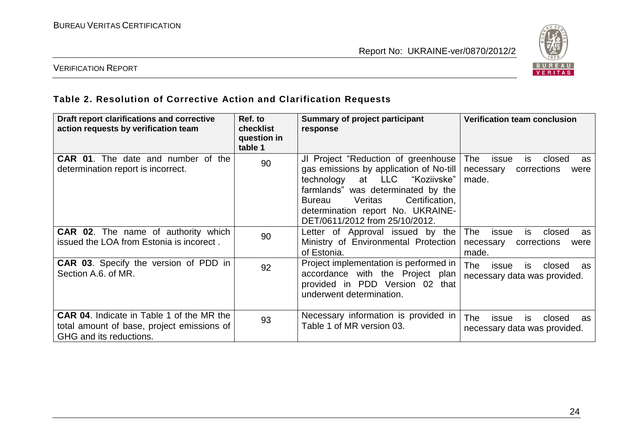

## VERIFICATION REPORT

## **Table 2. Resolution of Corrective Action and Clarification Requests**

| Draft report clarifications and corrective<br>action requests by verification team                                        | Ref. to<br><b>checklist</b><br>question in<br>table 1 | Summary of project participant<br>response                                                                                                                                                                                                                              | <b>Verification team conclusion</b>                                                    |
|---------------------------------------------------------------------------------------------------------------------------|-------------------------------------------------------|-------------------------------------------------------------------------------------------------------------------------------------------------------------------------------------------------------------------------------------------------------------------------|----------------------------------------------------------------------------------------|
| <b>CAR 01.</b> The date and number of the<br>determination report is incorrect.                                           | 90                                                    | JI Project "Reduction of greenhouse"<br>gas emissions by application of No-till<br>at LLC "Koziivske"<br>technology<br>farmlands" was determinated by the<br>Certification,<br>Veritas<br>Bureau<br>determination report No. UKRAINE-<br>DET/0611/2012 from 25/10/2012. | The<br>issue<br>is<br>closed<br>as<br>corrections<br>necessary<br>were<br>made.        |
| <b>CAR 02.</b> The name of authority which<br>issued the LOA from Estonia is incorect.                                    | 90                                                    | Letter of Approval issued by the<br>Ministry of Environmental Protection<br>of Estonia.                                                                                                                                                                                 | issue<br>is<br>closed<br><b>The</b><br>as<br>corrections<br>necessary<br>were<br>made. |
| <b>CAR 03.</b> Specify the version of PDD in<br>Section A.6. of MR.                                                       | 92                                                    | Project implementation is performed in<br>accordance with the Project plan<br>provided in PDD Version 02 that<br>underwent determination.                                                                                                                               | <b>The</b><br>closed<br>issue<br>is<br>as<br>necessary data was provided.              |
| <b>CAR 04.</b> Indicate in Table 1 of the MR the<br>total amount of base, project emissions of<br>GHG and its reductions. | 93                                                    | Necessary information is provided in<br>Table 1 of MR version 03.                                                                                                                                                                                                       | <b>The</b><br>closed<br>issue<br>IS.<br>as<br>necessary data was provided.             |